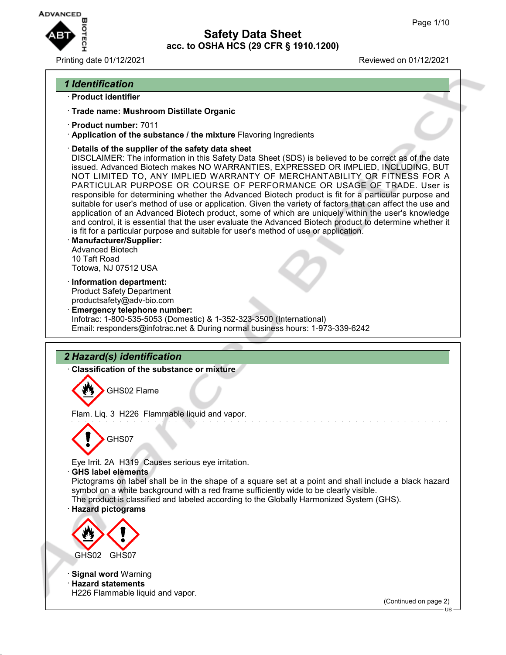

Printing date 01/12/2021 Reviewed on 01/12/2021

## *1 Identification*

- · **Product identifier**
- · **Trade name: Mushroom Distillate Organic**
- · **Product number:** 7011
- · **Application of the substance / the mixture** Flavoring Ingredients
- · **Details of the supplier of the safety data sheet**

DISCLAIMER: The information in this Safety Data Sheet (SDS) is believed to be correct as of the date issued. Advanced Biotech makes NO WARRANTIES, EXPRESSED OR IMPLIED, INCLUDING, BUT NOT LIMITED TO, ANY IMPLIED WARRANTY OF MERCHANTABILITY OR FITNESS FOR A PARTICULAR PURPOSE OR COURSE OF PERFORMANCE OR USAGE OF TRADE. User is responsible for determining whether the Advanced Biotech product is fit for a particular purpose and suitable for user's method of use or application. Given the variety of factors that can affect the use and application of an Advanced Biotech product, some of which are uniquely within the user's knowledge and control, it is essential that the user evaluate the Advanced Biotech product to determine whether it is fit for a particular purpose and suitable for user's method of use or application.

- · **Manufacturer/Supplier:** Advanced Biotech 10 Taft Road Totowa, NJ 07512 USA
- · **Information department:** Product Safety Department productsafety@adv-bio.com
- · **Emergency telephone number:** Infotrac: 1-800-535-5053 (Domestic) & 1-352-323-3500 (International) Email: responders@infotrac.net & During normal business hours: 1-973-339-6242

# *2 Hazard(s) identification*

· **Classification of the substance or mixture**

GHS02 Flame

Flam. Liq. 3 H226 Flammable liquid and vapor.



Eye Irrit. 2A H319 Causes serious eye irritation.

· **GHS label elements**

Pictograms on label shall be in the shape of a square set at a point and shall include a black hazard symbol on a white background with a red frame sufficiently wide to be clearly visible.

The product is classified and labeled according to the Globally Harmonized System (GHS).

## · **Hazard pictograms**



· **Signal word** Warning

· **Hazard statements** H226 Flammable liquid and vapor.

(Continued on page 2)

US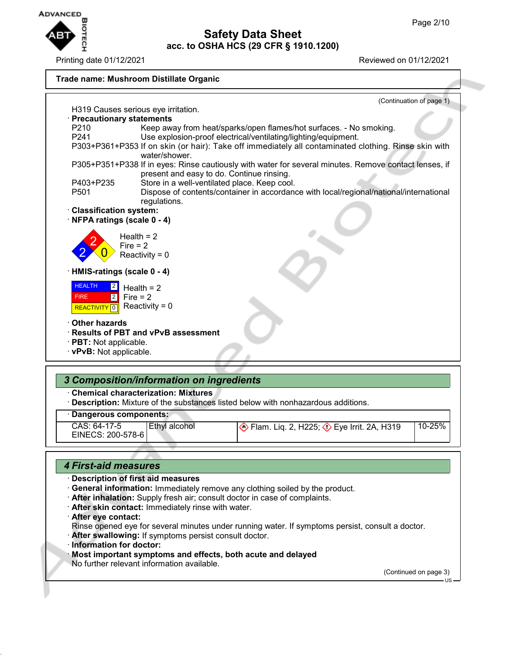

Printing date 01/12/2021 Reviewed on 01/12/2021



| 10-25%<br>CAS: 64-17-5<br>Ethyl alcohol<br>  Eye Irrit. 2A, H319 Polar Liq. 2, H319<br>EINECS: 200-578-6 |  |  |
|----------------------------------------------------------------------------------------------------------|--|--|
|                                                                                                          |  |  |

## *4 First-aid measures*

### · **Description of first aid measures**

- · **General information:** Immediately remove any clothing soiled by the product.
- · **After inhalation:** Supply fresh air; consult doctor in case of complaints.
- · **After skin contact:** Immediately rinse with water.
- · **After eye contact:**
- Rinse opened eye for several minutes under running water. If symptoms persist, consult a doctor.
- · **After swallowing:** If symptoms persist consult doctor.
- · **Information for doctor:**
- · **Most important symptoms and effects, both acute and delayed**
- No further relevant information available.

(Continued on page 3)

US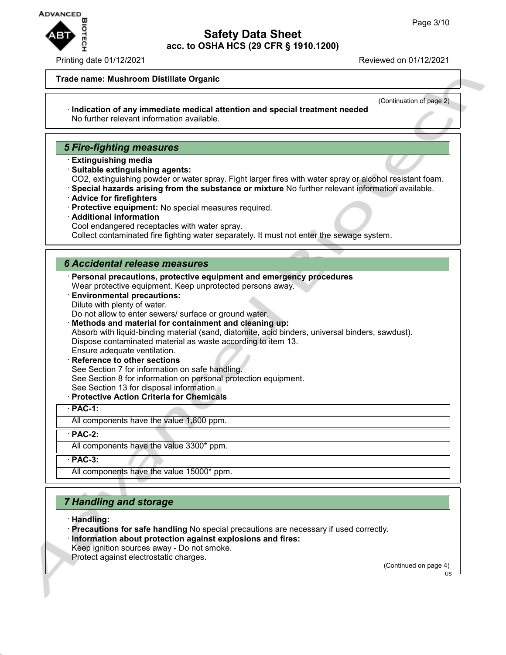

### Printing date 01/12/2021 Reviewed on 01/12/2021

### **Trade name: Mushroom Distillate Organic**

(Continuation of page 2)

#### · **Indication of any immediate medical attention and special treatment needed** No further relevant information available.

## *5 Fire-fighting measures*

- · **Extinguishing media**
- · **Suitable extinguishing agents:**
- CO2, extinguishing powder or water spray. Fight larger fires with water spray or alcohol resistant foam.
- · **Special hazards arising from the substance or mixture** No further relevant information available.
- · **Advice for firefighters**
- · **Protective equipment:** No special measures required.
- · **Additional information**
- Cool endangered receptacles with water spray.

Collect contaminated fire fighting water separately. It must not enter the sewage system.

## *6 Accidental release measures*

- · **Personal precautions, protective equipment and emergency procedures** Wear protective equipment. Keep unprotected persons away.
- · **Environmental precautions:** Dilute with plenty of water.
- Do not allow to enter sewers/ surface or ground water.
- · **Methods and material for containment and cleaning up:**

Absorb with liquid-binding material (sand, diatomite, acid binders, universal binders, sawdust). Dispose contaminated material as waste according to item 13.

- Ensure adequate ventilation.
- **Reference to other sections** See Section 7 for information on safe handling. See Section 8 for information on personal protection equipment. See Section 13 for disposal information.
- · **Protective Action Criteria for Chemicals**

### · **PAC-1:**

All components have the value 1,800 ppm.

· **PAC-2:**

All components have the value 3300\* ppm.

· **PAC-3:**

All components have the value 15000\* ppm.

# *7 Handling and storage*

- · **Handling:**
- · **Precautions for safe handling** No special precautions are necessary if used correctly. · **Information about protection against explosions and fires:**
- Keep ignition sources away Do not smoke.
- Protect against electrostatic charges.

(Continued on page 4)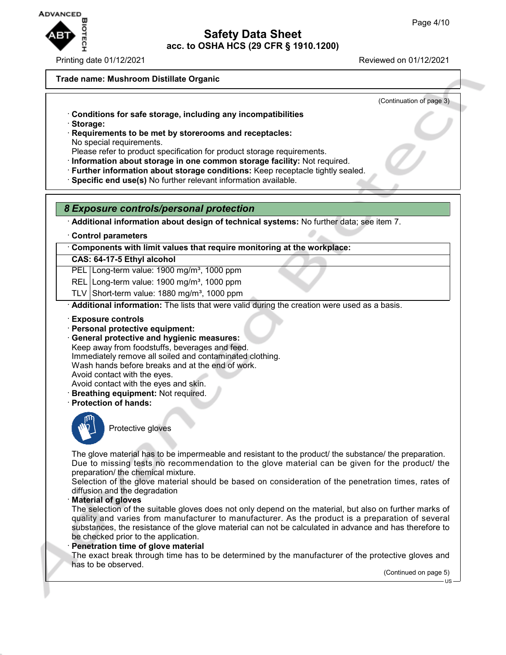

Printing date 01/12/2021 Reviewed on 01/12/2021

### **Trade name: Mushroom Distillate Organic**

(Continuation of page 3)

- · **Conditions for safe storage, including any incompatibilities**
- · **Storage:**
- · **Requirements to be met by storerooms and receptacles:** No special requirements.
- Please refer to product specification for product storage requirements.
- · **Information about storage in one common storage facility:** Not required.
- · **Further information about storage conditions:** Keep receptacle tightly sealed.
- · **Specific end use(s)** No further relevant information available.

## *8 Exposure controls/personal protection*

· **Additional information about design of technical systems:** No further data; see item 7.

· **Control parameters**

· **Components with limit values that require monitoring at the workplace:**

## **CAS: 64-17-5 Ethyl alcohol**

PEL Long-term value: 1900 mg/m<sup>3</sup>, 1000 ppm

- REL Long-term value: 1900 mg/m<sup>3</sup>, 1000 ppm
- TLV Short-term value:  $1880 \text{ mg/m}^3$ , 1000 ppm

· **Additional information:** The lists that were valid during the creation were used as a basis.

- · **Exposure controls**
- · **Personal protective equipment:**
- · **General protective and hygienic measures:** Keep away from foodstuffs, beverages and feed. Immediately remove all soiled and contaminated clothing. Wash hands before breaks and at the end of work.

Avoid contact with the eyes.

- Avoid contact with the eyes and skin.
- · **Breathing equipment:** Not required.
- · **Protection of hands:**



Protective gloves

The glove material has to be impermeable and resistant to the product/ the substance/ the preparation. Due to missing tests no recommendation to the glove material can be given for the product/ the preparation/ the chemical mixture.

Selection of the glove material should be based on consideration of the penetration times, rates of diffusion and the degradation

· **Material of gloves**

The selection of the suitable gloves does not only depend on the material, but also on further marks of quality and varies from manufacturer to manufacturer. As the product is a preparation of several substances, the resistance of the glove material can not be calculated in advance and has therefore to be checked prior to the application.

#### · **Penetration time of glove material**

The exact break through time has to be determined by the manufacturer of the protective gloves and has to be observed.

(Continued on page 5)

US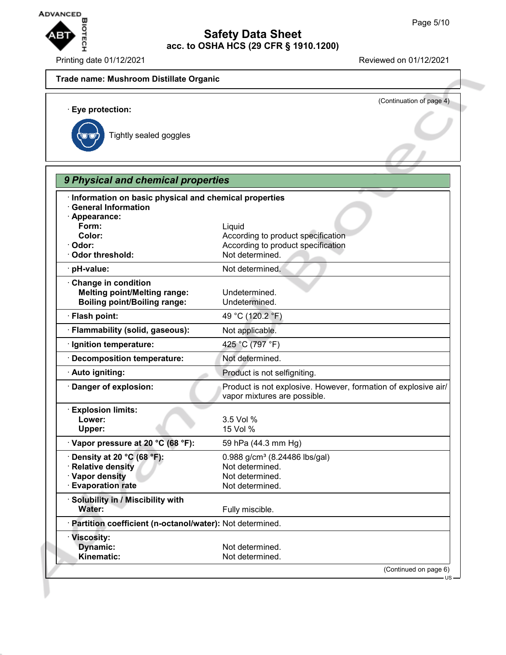

Printing date 01/12/2021 Reviewed on 01/12/2021

# **Trade name: Mushroom Distillate Organic** (Continuation of page 4) · **Eye protection:** Tightly sealed goggles *9 Physical and chemical properties* · **Information on basic physical and chemical properties** · **General Information** · **Appearance: Form:** Liquid **Color:** Color: **According to product specification** · Odor: **Odor: According to product specification** · Odor threshold: Not determined. · **pH-value:** Not determined. · **Change in condition Melting point/Melting range:** Undetermined. **Boiling point/Boiling range:** Undetermined. · **Flash point:** 49 °C (120.2 °F) · **Flammability (solid, gaseous):** Not applicable. · **Ignition temperature:** 425 °C (797 °F) · **Decomposition temperature:** Not determined. · **Auto igniting:** Product is not selfigniting. · **Danger of explosion:** Product is not explosive. However, formation of explosive air/ vapor mixtures are possible. · **Explosion limits: Lower:** 3.5 Vol % **Upper:** 15 Vol % · **Vapor pressure at 20 °C (68 °F):** 59 hPa (44.3 mm Hg) **Density at 20 °C (68 °F):** 0.988 g/cm<sup>3</sup> (8.24486 lbs/gal) **Product Relative density** Not determined. **Vapor density** Not determined. · **Evaporation rate Not determined.** · **Solubility in / Miscibility with** Water: **Water:** Fully miscible. · **Partition coefficient (n-octanol/water):** Not determined. · **Viscosity: Dynamic:** Not determined. Kinematic: Not determined. (Continued on page 6)  $H\mathbf{S}$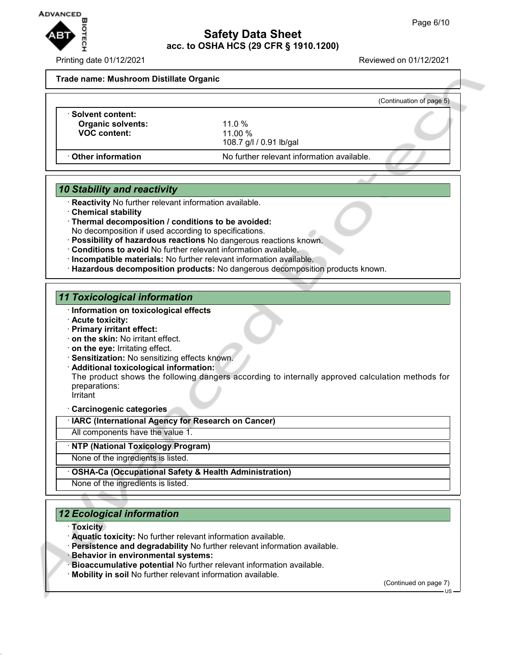

Printing date 01/12/2021 Reviewed on 01/12/2021

**Trade name: Mushroom Distillate Organic**

|                          |                                            | (Continuation of page 5) |
|--------------------------|--------------------------------------------|--------------------------|
| · Solvent content:       |                                            |                          |
| <b>Organic solvents:</b> | 11.0 $%$                                   |                          |
| <b>VOC content:</b>      | $11.00 \%$                                 |                          |
|                          | 108.7 g/l / 0.91 lb/gal                    |                          |
| Other information        | No further relevant information available. |                          |

## *10 Stability and reactivity*

- · **Reactivity** No further relevant information available.
- · **Chemical stability**
- · **Thermal decomposition / conditions to be avoided:** No decomposition if used according to specifications.
- · **Possibility of hazardous reactions** No dangerous reactions known.
- · **Conditions to avoid** No further relevant information available.
- · **Incompatible materials:** No further relevant information available.
- · **Hazardous decomposition products:** No dangerous decomposition products known.

## *11 Toxicological information*

- · **Information on toxicological effects**
- · **Acute toxicity:**
- · **Primary irritant effect:**
- · **on the skin:** No irritant effect.
- · **on the eye:** Irritating effect.
- · **Sensitization:** No sensitizing effects known.
- · **Additional toxicological information:**

The product shows the following dangers according to internally approved calculation methods for preparations: Irritant

· **Carcinogenic categories**

· **IARC (International Agency for Research on Cancer)**

All components have the value 1.

## · **NTP (National Toxicology Program)**

None of the ingredients is listed.

## · **OSHA-Ca (Occupational Safety & Health Administration)**

None of the ingredients is listed.

# *12 Ecological information*

- · **Toxicity**
- · **Aquatic toxicity:** No further relevant information available.
- · **Persistence and degradability** No further relevant information available.
- · **Behavior in environmental systems:**
- · **Bioaccumulative potential** No further relevant information available.
- · **Mobility in soil** No further relevant information available.

(Continued on page 7)

US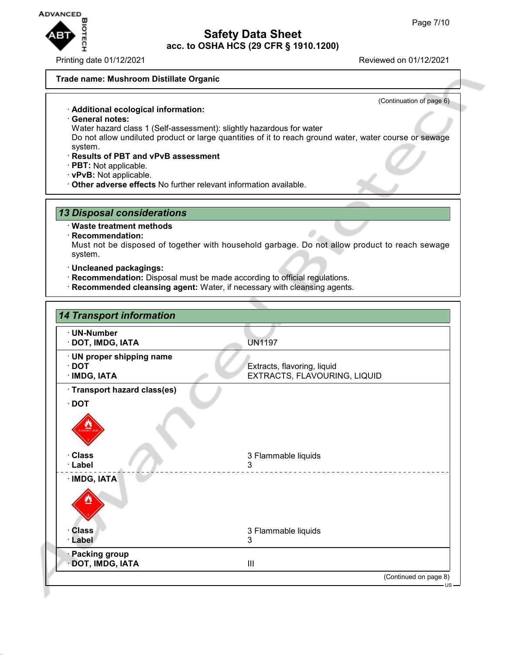

Printing date 01/12/2021 Reviewed on 01/12/2021

### **Trade name: Mushroom Distillate Organic**

(Continuation of page 6)

### · **Additional ecological information:**

- · **General notes:**
- Water hazard class 1 (Self-assessment): slightly hazardous for water

Do not allow undiluted product or large quantities of it to reach ground water, water course or sewage system.

- · **Results of PBT and vPvB assessment**
- · **PBT:** Not applicable.
- · **vPvB:** Not applicable.
- · **Other adverse effects** No further relevant information available.

## *13 Disposal considerations*

### · **Waste treatment methods**

· **Recommendation:**

Must not be disposed of together with household garbage. Do not allow product to reach sewage system.

- · **Uncleaned packagings:**
- · **Recommendation:** Disposal must be made according to official regulations.
- · **Recommended cleansing agent:** Water, if necessary with cleansing agents.

| <b>14 Transport information</b>                              |                                                             |
|--------------------------------------------------------------|-------------------------------------------------------------|
| · UN-Number<br>· DOT, IMDG, IATA                             | <b>UN1197</b>                                               |
| · UN proper shipping name<br><b>DOT</b><br><b>IMDG, IATA</b> | Extracts, flavoring, liquid<br>EXTRACTS, FLAVOURING, LIQUID |
| · Transport hazard class(es)<br><b>DOT</b><br>· Class        | 3 Flammable liquids                                         |
| · Label<br>· IMDG, IATA                                      | 3                                                           |
| <b>Class</b><br>Label                                        | 3 Flammable liquids<br>3                                    |
| <b>Packing group</b><br>DOT, IMDG, IATA                      | III                                                         |
|                                                              | (Continued on page 8)                                       |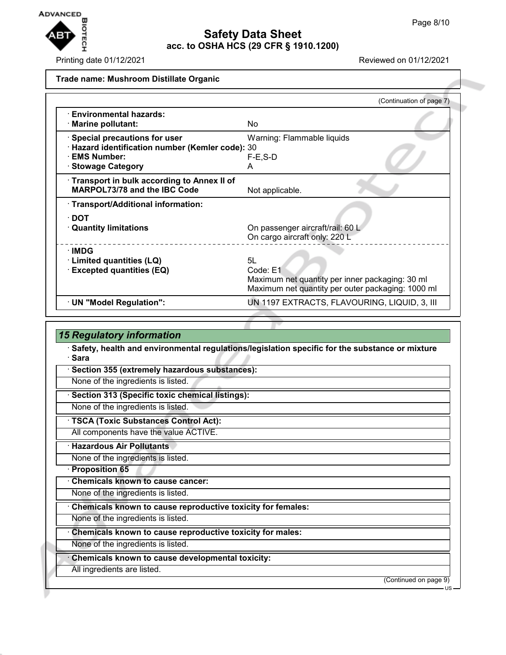

Printing date 01/12/2021 Reviewed on 01/12/2021

### **Trade name: Mushroom Distillate Organic**

|                                                                                                                                 | (Continuation of page 7)                                                                                               |
|---------------------------------------------------------------------------------------------------------------------------------|------------------------------------------------------------------------------------------------------------------------|
| · Environmental hazards:<br>· Marine pollutant:                                                                                 | No.                                                                                                                    |
| $\cdot$ Special precautions for user<br>· Hazard identification number (Kemler code): 30<br>· EMS Number:<br>· Stowage Category | Warning: Flammable liquids<br>$F-E$ , S-D<br>A                                                                         |
| · Transport in bulk according to Annex II of<br><b>MARPOL73/78 and the IBC Code</b>                                             | Not applicable.                                                                                                        |
| · Transport/Additional information:                                                                                             |                                                                                                                        |
| $\cdot$ DOT<br><b>Quantity limitations</b>                                                                                      | On passenger aircraft/rail: 60 L<br>On cargo aircraft only: 220 L                                                      |
| $\cdot$ IMDG<br>· Limited quantities (LQ)<br><b>Excepted quantities (EQ)</b>                                                    | 5L<br>Code: E1<br>Maximum net quantity per inner packaging: 30 ml<br>Maximum net quantity per outer packaging: 1000 ml |
| · UN "Model Regulation":                                                                                                        | UN 1197 EXTRACTS, FLAVOURING, LIQUID, 3, III                                                                           |

## *15 Regulatory information*

· **Safety, health and environmental regulations/legislation specific for the substance or mixture** · **Sara**

Section 355 (extremely hazardous substances):

None of the ingredients is listed.

· **Section 313 (Specific toxic chemical listings):**

None of the ingredients is listed.

· **TSCA (Toxic Substances Control Act):**

All components have the value ACTIVE.

· **Hazardous Air Pollutants**

None of the ingredients is listed.

· **Proposition 65**

· **Chemicals known to cause cancer:**

None of the ingredients is listed.

· **Chemicals known to cause reproductive toxicity for females:**

None of the ingredients is listed.

· **Chemicals known to cause reproductive toxicity for males:**

None of the ingredients is listed.

· **Chemicals known to cause developmental toxicity:**

All ingredients are listed.

(Continued on page 9)

US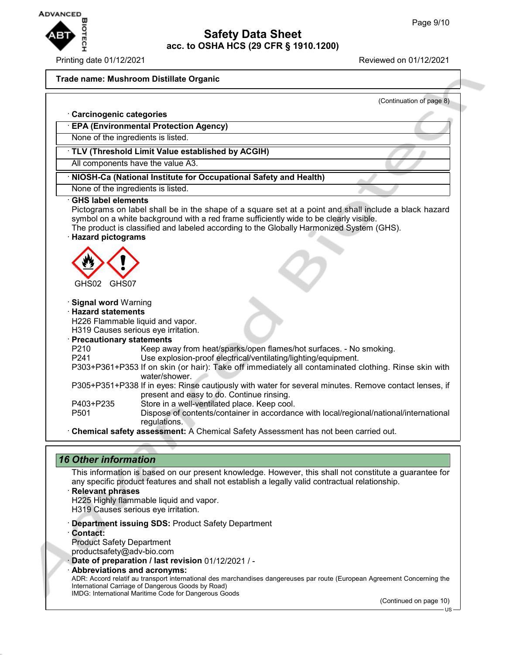

· **Carcinogenic categories**

### Printing date 01/12/2021 Reviewed on 01/12/2021

### **Trade name: Mushroom Distillate Organic**

(Continuation of page 8)

| <b>EPA (Environmental Protection Agency)</b>                                                                                                                                                                                                                                                                                                    |  |  |  |  |
|-------------------------------------------------------------------------------------------------------------------------------------------------------------------------------------------------------------------------------------------------------------------------------------------------------------------------------------------------|--|--|--|--|
| None of the ingredients is listed.                                                                                                                                                                                                                                                                                                              |  |  |  |  |
| · TLV (Threshold Limit Value established by ACGIH)                                                                                                                                                                                                                                                                                              |  |  |  |  |
| All components have the value A3.                                                                                                                                                                                                                                                                                                               |  |  |  |  |
| · NIOSH-Ca (National Institute for Occupational Safety and Health)                                                                                                                                                                                                                                                                              |  |  |  |  |
| None of the ingredients is listed.                                                                                                                                                                                                                                                                                                              |  |  |  |  |
| <b>GHS label elements</b><br>Pictograms on label shall be in the shape of a square set at a point and shall include a black hazard<br>symbol on a white background with a red frame sufficiently wide to be clearly visible.<br>The product is classified and labeled according to the Globally Harmonized System (GHS).<br>· Hazard pictograms |  |  |  |  |
| GHS02<br>GHS07                                                                                                                                                                                                                                                                                                                                  |  |  |  |  |
| · Signal word Warning                                                                                                                                                                                                                                                                                                                           |  |  |  |  |
| <b>Hazard statements</b><br>H226 Flammable liquid and vapor.                                                                                                                                                                                                                                                                                    |  |  |  |  |
| H319 Causes serious eye irritation.                                                                                                                                                                                                                                                                                                             |  |  |  |  |
| · Precautionary statements                                                                                                                                                                                                                                                                                                                      |  |  |  |  |
| Keep away from heat/sparks/open flames/hot surfaces. - No smoking.<br>P <sub>210</sub>                                                                                                                                                                                                                                                          |  |  |  |  |
| Use explosion-proof electrical/ventilating/lighting/equipment.<br>P241<br>P303+P361+P353 If on skin (or hair): Take off immediately all contaminated clothing. Rinse skin with<br>water/shower.                                                                                                                                                 |  |  |  |  |
| P305+P351+P338 If in eyes: Rinse cautiously with water for several minutes. Remove contact lenses, if<br>present and easy to do. Continue rinsing.                                                                                                                                                                                              |  |  |  |  |
| Store in a well-ventilated place. Keep cool.<br>P403+P235                                                                                                                                                                                                                                                                                       |  |  |  |  |
| Dispose of contents/container in accordance with local/regional/national/international<br>P <sub>501</sub>                                                                                                                                                                                                                                      |  |  |  |  |
| regulations.<br>· Chemical safety assessment: A Chemical Safety Assessment has not been carried out.                                                                                                                                                                                                                                            |  |  |  |  |
|                                                                                                                                                                                                                                                                                                                                                 |  |  |  |  |

## *16 Other information*

This information is based on our present knowledge. However, this shall not constitute a guarantee for any specific product features and shall not establish a legally valid contractual relationship.

- · **Relevant phrases** H225 Highly flammable liquid and vapor.
- H319 Causes serious eye irritation.
- · **Department issuing SDS:** Product Safety Department
- · **Contact:** Product Safety Department
- productsafety@adv-bio.com
- · **Date of preparation / last revision** 01/12/2021 / -
- · **Abbreviations and acronyms:**

ADR: Accord relatif au transport international des marchandises dangereuses par route (European Agreement Concerning the International Carriage of Dangerous Goods by Road) IMDG: International Maritime Code for Dangerous Goods

(Continued on page 10)

US